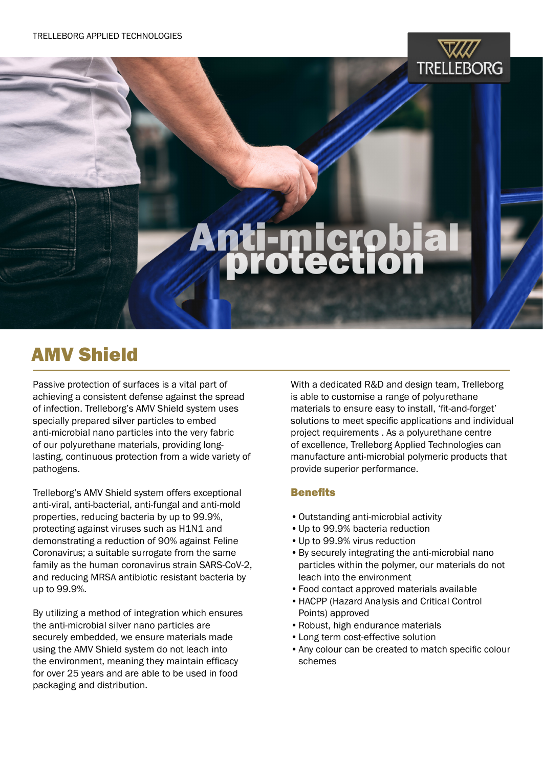

# **Anti-microbial<br>protection**

# AMV Shield

Passive protection of surfaces is a vital part of achieving a consistent defense against the spread of infection. Trelleborg's AMV Shield system uses specially prepared silver particles to embed anti-microbial nano particles into the very fabric of our polyurethane materials, providing longlasting, continuous protection from a wide variety of pathogens.

Trelleborg's AMV Shield system offers exceptional anti-viral, anti-bacterial, anti-fungal and anti-mold properties, reducing bacteria by up to 99.9%, protecting against viruses such as H1N1 and demonstrating a reduction of 90% against Feline Coronavirus; a suitable surrogate from the same family as the human coronavirus strain SARS-CoV-2, and reducing MRSA antibiotic resistant bacteria by up to 99.9%.

By utilizing a method of integration which ensures the anti-microbial silver nano particles are securely embedded, we ensure materials made using the AMV Shield system do not leach into the environment, meaning they maintain efficacy for over 25 years and are able to be used in food packaging and distribution.

With a dedicated R&D and design team, Trelleborg is able to customise a range of polyurethane materials to ensure easy to install, 'fit-and-forget' solutions to meet specific applications and individual project requirements . As a polyurethane centre of excellence, Trelleborg Applied Technologies can manufacture anti-microbial polymeric products that provide superior performance.

# **Benefits**

- •Outstanding anti-microbial activity
- •Up to 99.9% bacteria reduction
- •Up to 99.9% virus reduction
- •By securely integrating the anti-microbial nano particles within the polymer, our materials do not leach into the environment
- •Food contact approved materials available
- •HACPP (Hazard Analysis and Critical Control Points) approved
- •Robust, high endurance materials
- •Long term cost-effective solution
- •Any colour can be created to match specific colour schemes